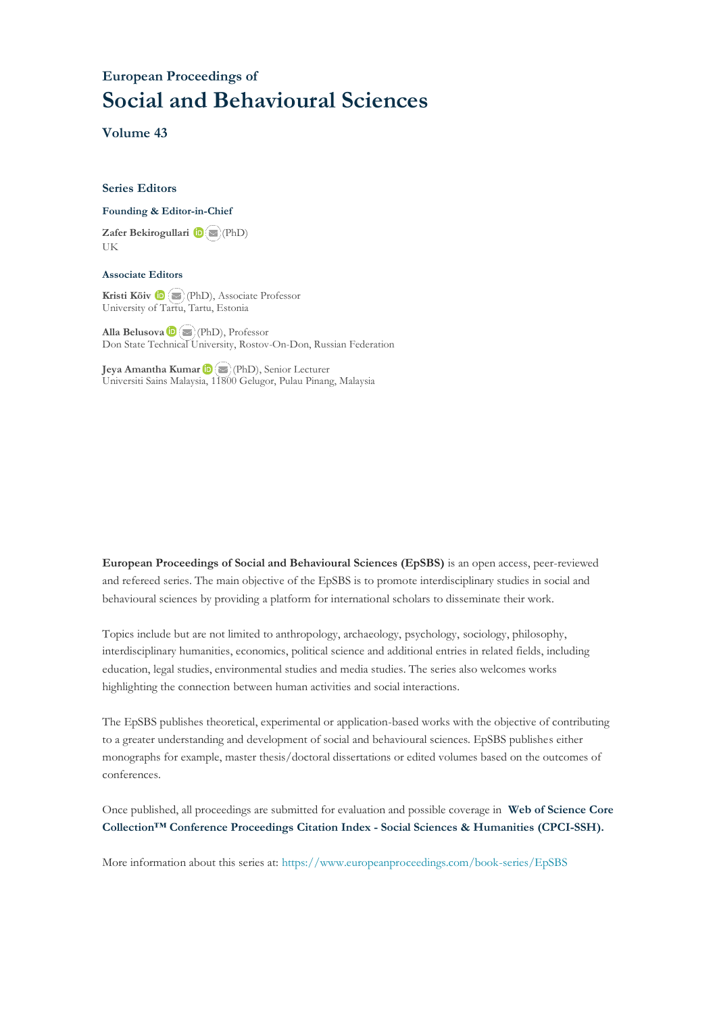## **European Proceedings of Social and Behavioural Sciences**

**Volume 43**

#### **Series Editors**

#### **Founding & Editor-in-Chief**

**Zafer Bekirogullari**(PhD) UK

#### **Associate Editors**

**Kristi Köiv** (PhD), Associate Professor University of Tartu, Tartu, Estonia

**Alla Belusova**(PhD), Professor Don State Technical University, Rostov-On-Don, Russian Federation

**Jeya Amantha Kumar**(PhD), Senior Lecturer Universiti Sains Malaysia, [1180](mailto:amantha@usm.my)0 Gelugor, Pulau Pinang, Malaysia

**European Proceedings of Social and Behavioural Sciences (EpSBS)** is an open access, peer-reviewed and refereed series. The main objective of the EpSBS is to promote interdisciplinary studies in social and behavioural sciences by providing a platform for international scholars to disseminate their work.

Topics include but are not limited to anthropology, archaeology, psychology, sociology, philosophy, interdisciplinary humanities, economics, political science and additional entries in related fields, including education, legal studies, environmental studies and media studies. The series also welcomes works highlighting the connection between human activities and social interactions.

The EpSBS publishes theoretical, experimental or application-based works with the objective of contributing to a greater understanding and development of social and behavioural sciences. EpSBS publishes either monographs for example, master thesis/doctoral dissertations or edited volumes based on the outcomes of conferences.

Once published, all proceedings are submitted for evaluation and possible coverage in **Web of [Science](https://clarivate.com/webofsciencegroup/solutions/webofscience-cpci/) Core Collection™ Conference Proceedings Citation Index - Social Sciences & Humanities [\(CPCI-SSH\).](https://clarivate.com/webofsciencegroup/solutions/webofscience-cpci/)**

More information about this series at[: https://www.europeanproceedings.com/book-series/EpSBS](https://www.europeanproceedings.com/book-series/EpSBS)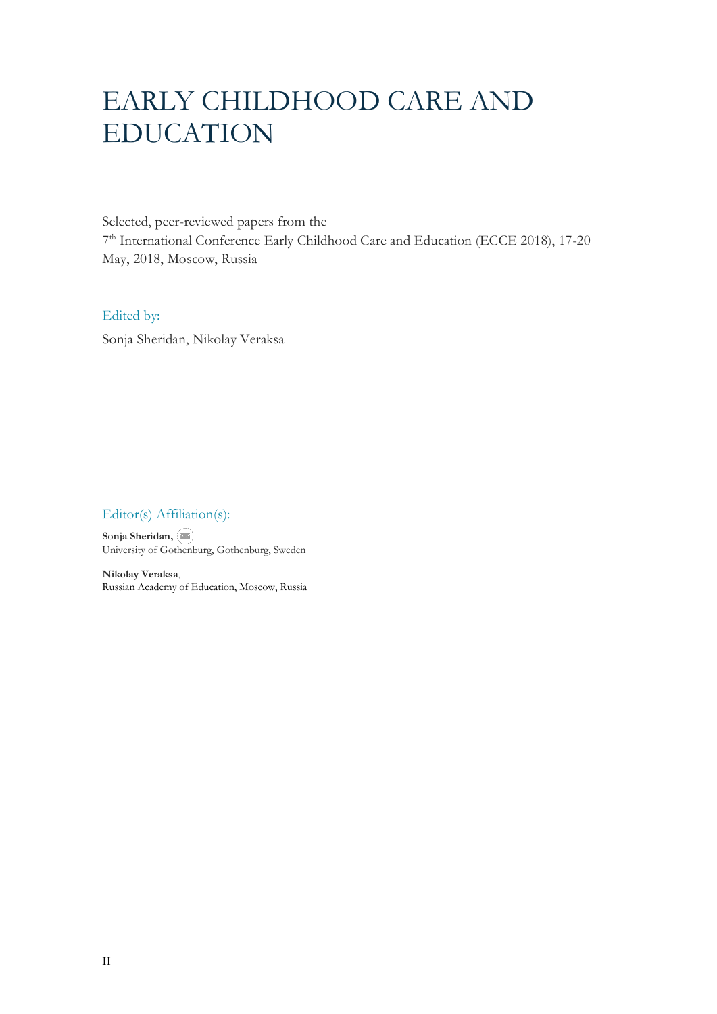# EARLY CHILDHOOD CARE AND EDUCATION

Selected, peer-reviewed papers from the 7 th International Conference Early Childhood Care and Education (ECCE 2018), 17-20 May, 2018, Moscow, Russia

## Edited by:

Sonja Sheridan, Nikolay Veraksa

## Editor(s) Affiliation(s):

**Sonja Sheridan,** University of Gothenburg, Gothenburg, Sweden

**Nikolay Veraksa**, Russian Academy of Education, Moscow, Russia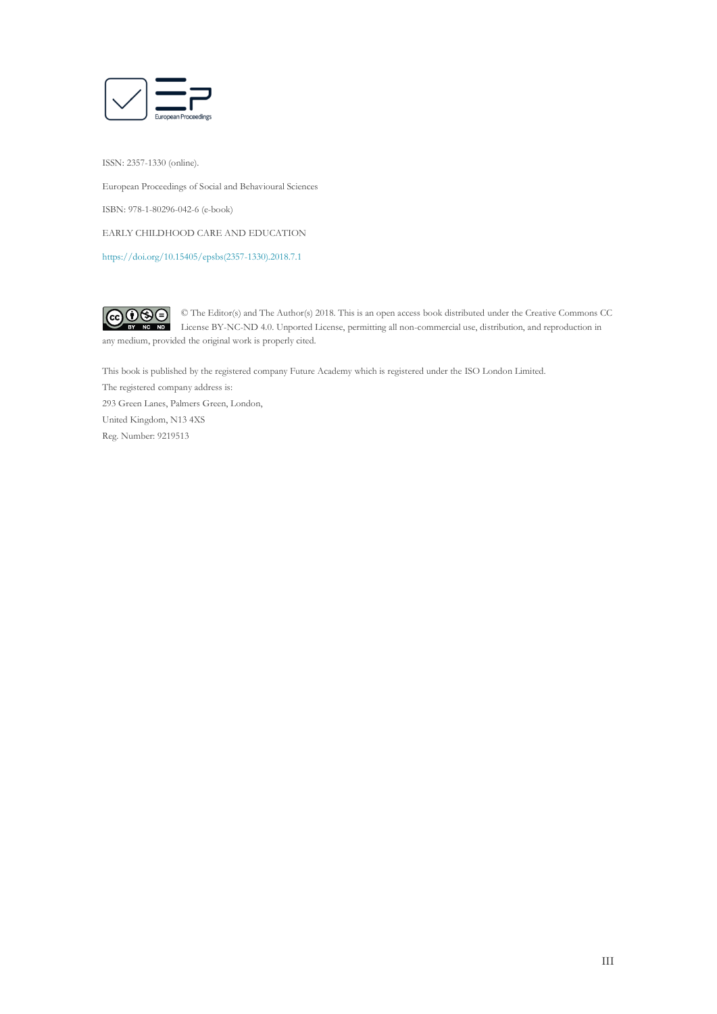

ISSN: 2357-1330 (online). European Proceedings of Social and Behavioural Sciences ISBN: 978-1-80296-042-6 (e-book) EARLY CHILDHOOD CARE AND EDUCATION [https://doi.org/10.15405/epsbs\(2357-1330\).2018.7.1](https://doi.org/10.15405/epsbs(2357-1330).2018.7.1)



© The Editor(s) and The Author(s) 2018. This is an open access book distributed under the Creative Commons CC License BY-NC-ND 4.0. Unported License, permitting all non-commercial use, distribution, and reproduction in  $\overline{ND}$ any medium, provided the original work is properly cited.

This book is published by the registered company Future Academy which is registered under the ISO London Limited. The registered company address is: 293 Green Lanes, Palmers Green, London, United Kingdom, N13 4XS Reg. Number: 9219513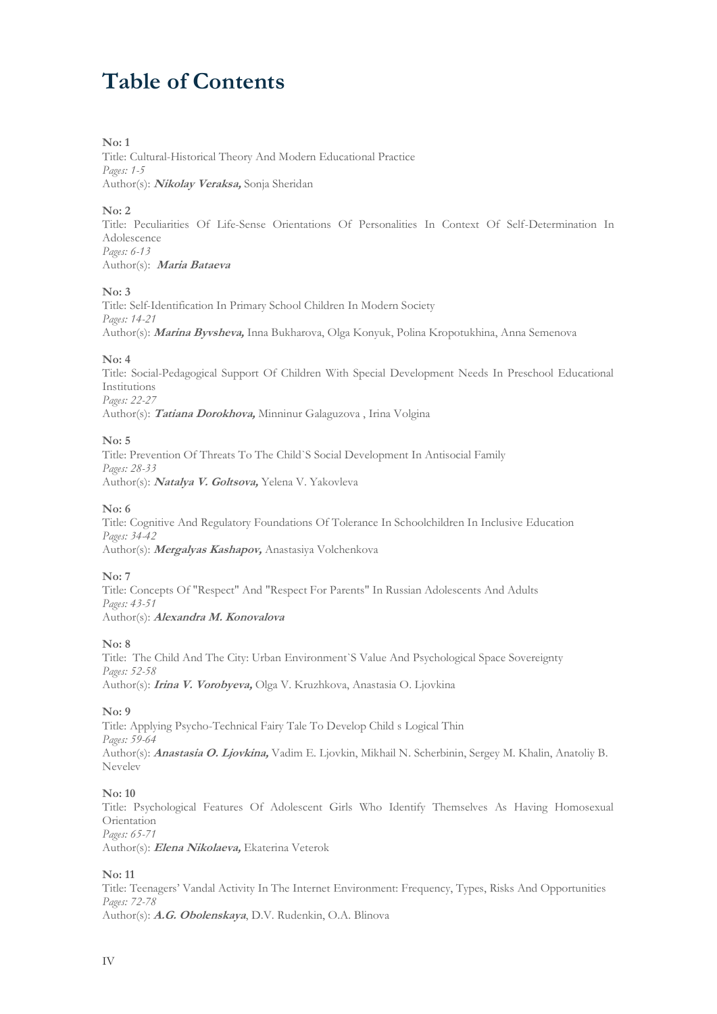## **Table of Contents**

## **No: 1**

Title: Cultural-Historical Theory And Modern Educational Practice *Pages: 1-5* Author(s): **Nikolay Veraksa,** Sonja Sheridan

## **No: 2**

Title: Peculiarities Of Life-Sense Orientations Of Personalities In Context Of Self-Determination In Adolescence *Pages: 6-13* Author(s): **Maria Bataeva**

#### **No: 3**

Title: Self-Identification In Primary School Children In Modern Society *Pages: 14-21* Author(s): **Marina Byvsheva,** Inna Bukharova, Olga Konyuk, Polina Kropotukhina, Anna Semenova

#### **No: 4**

Title: Social-Pedagogical Support Of Children With Special Development Needs In Preschool Educational Institutions *Pages: 22-27*

Author(s): **Tatiana Dorokhova,** Minninur Galaguzova , Irina Volgina

#### **No: 5**

Title: Prevention Of Threats To The Child`S Social Development In Antisocial Family *Pages: 28-33* Author(s): **Natalya V. Goltsova,** Yelena V. Yakovleva

#### **No: 6**

Title: Cognitive And Regulatory Foundations Of Tolerance In Schoolchildren In Inclusive Education *Pages: 34-42* Author(s): **Mergalyas Kashapov,** Anastasiya Volchenkova

#### **No: 7**

Title: Concepts Of "Respect" And "Respect For Parents" In Russian Adolescents And Adults *Pages: 43-51* Author(s): **Alexandra M. Konovalova**

#### **No: 8**

Title: The Child And The City: Urban Environment`S Value And Psychological Space Sovereignty *Pages: 52-58* Author(s): **Irina V. Vorobyeva,** Olga V. Kruzhkova, Anastasia O. Ljovkina

#### **No: 9**

Title: Applying Psycho-Technical Fairy Tale To Develop Child s Logical Thin *Pages: 59-64* Author(s): **Anastasia O. Ljovkina,** Vadim E. Ljovkin, Mikhail N. Scherbinin, Sergey M. Khalin, Anatoliy B. Nevelev

#### **No: 10**

Title: Psychological Features Of Adolescent Girls Who Identify Themselves As Having Homosexual **Orientation** *Pages: 65-71*

Author(s): **Elena Nikolaeva,** Ekaterina Veterok

#### **No: 11**

Title: Teenagers' Vandal Activity In The Internet Environment: Frequency, Types, Risks And Opportunities *Pages: 72-78* Author(s): **A.G. Obolenskaya**, D.V. Rudenkin, O.A. Blinova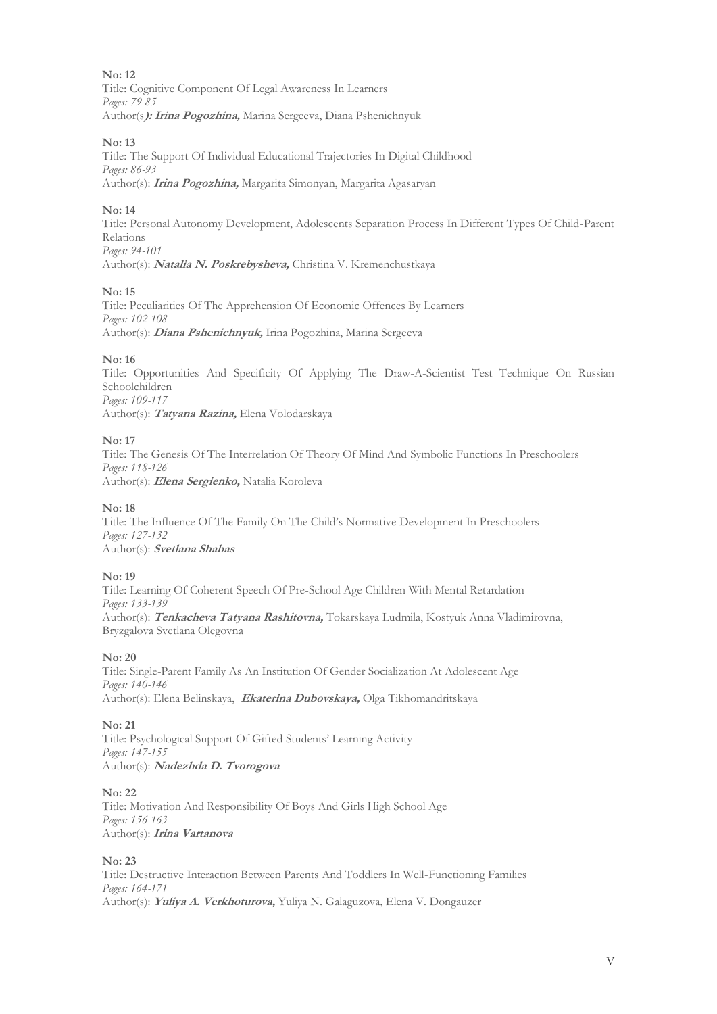Title: Cognitive Component Of Legal Awareness In Learners *Pages: 79-85* Author(s**): Irina Pogozhina,** Marina Sergeeva, Diana Pshenichnyuk

## **No: 13**

Title: The Support Of Individual Educational Trajectories In Digital Childhood *Pages: 86-93* Author(s): **Irina Pogozhina,** Margarita Simonyan, Margarita Agasaryan

## **No: 14**

Title: Personal Autonomy Development, Adolescents Separation Process In Different Types Of Child-Parent Relations *Pages: 94-101*

Author(s): **Natalia N. Poskrebysheva,** Christina V. Kremenchustkaya

## **No: 15**

Title: Peculiarities Of The Apprehension Of Economic Offences By Learners *Pages: 102-108* Author(s): **Diana Pshenichnyuk,** Irina Pogozhina, Marina Sergeeva

## **No: 16**

Title: Opportunities And Specificity Of Applying The Draw-A-Scientist Test Technique On Russian Schoolchildren *Pages: 109-117* Author(s): **Tatyana Razina,** Elena Volodarskaya

## **No: 17**

Title: The Genesis Of The Interrelation Of Theory Of Mind And Symbolic Functions In Preschoolers *Pages: 118-126* Author(s): **Elena Sergienko,** Natalia Koroleva

## **No: 18**

Title: The Influence Of The Family On The Child's Normative Development In Preschoolers *Pages: 127-132* Author(s): **Svetlana Shabas**

## **No: 19**

Title: Learning Of Coherent Speech Of Pre-School Age Children With Mental Retardation *Pages: 133-139* Author(s): **Tenkacheva Tatyana Rashitovna,** Tokarskaya Ludmila, Kostyuk Anna Vladimirovna, Bryzgalova Svetlana Olegovna

## **No: 20**

Title: Single-Parent Family As An Institution Of Gender Socialization At Adolescent Age *Pages: 140-146* Author(s): Elena Belinskaya, **Ekaterina Dubovskaya,** Olga Tikhomandritskaya

## **No: 21**

Title: Psychological Support Of Gifted Students' Learning Activity *Pages: 147-155* Author(s): **Nadezhda D. Tvorogova**

## **No: 22**

Title: Motivation And Responsibility Of Boys And Girls High School Age *Pages: 156-163* Author(s): **Irina Vartanova**

## **No: 23**

Title: Destructive Interaction Between Parents And Toddlers In Well-Functioning Families *Pages: 164-171* Author(s): **Yuliya A. Verkhoturova,** Yuliya N. Galaguzova, Elena V. Dongauzer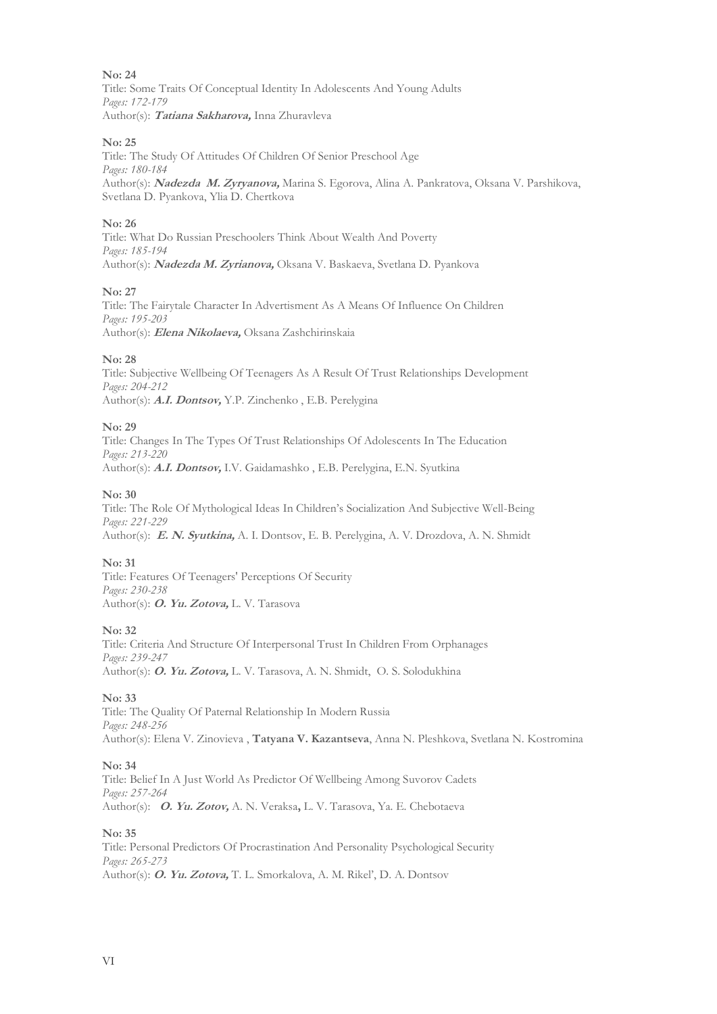Title: Some Traits Of Conceptual Identity In Adolescents And Young Adults *Pages: 172-179* Author(s): **Tatiana Sakharova,** Inna Zhuravleva

#### **No: 25**

Title: The Study Of Attitudes Of Children Of Senior Preschool Age *Pages: 180-184* Author(s): **Nadezda M. Zyryanova,** Marina S. Egorova, Alina A. Pankratova, Oksana V. Parshikova, Svetlana D. Pyankova, Ylia D. Chertkova

## **No: 26**

Title: What Do Russian Preschoolers Think About Wealth And Poverty *Pages: 185-194* Author(s): **Nadezda M. Zyrianova,** Oksana V. Baskaeva, Svetlana D. Pyankova

## **No: 27**

Title: The Fairytale Character In Advertisment As A Means Of Influence On Children *Pages: 195-203* Author(s): **Elena Nikolaeva,** Oksana Zashchirinskaia

#### **No: 28**

Title: Subjective Wellbeing Of Teenagers As A Result Of Trust Relationships Development *Pages: 204-212* Author(s): **A.I. Dontsov,** Y.P. Zinchenko , E.B. Perelygina

## **No: 29**

Title: Changes In The Types Of Trust Relationships Of Adolescents In The Education *Pages: 213-220* Author(s): **A.I. Dontsov,** I.V. Gaidamashko , E.B. Perelygina, E.N. Syutkina

#### **No: 30**

Title: The Role Of Mythological Ideas In Children's Socialization And Subjective Well-Being *Pages: 221-229* Author(s): **E. N. Syutkina,** A. I. Dontsov, E. B. Perelygina, A. V. Drozdova, A. N. Shmidt

## **No: 31**

Title: Features Of Teenagers' Perceptions Of Security *Pages: 230-238* Author(s): **O. Yu. Zotova,** L. V. Tarasova

## **No: 32**

Title: Criteria And Structure Of Interpersonal Trust In Children From Orphanages *Pages: 239-247* Author(s): **O. Yu. Zotova,** L. V. Tarasova, A. N. Shmidt, O. S. Solodukhina

#### **No: 33**

Title: The Quality Of Paternal Relationship In Modern Russia *Pages: 248-256* Author(s): Elena V. Zinovieva , **Tatyana V. Kazantseva**, Anna N. Pleshkova, Svetlana N. Kostromina

#### **No: 34**

Title: Belief In A Just World As Predictor Of Wellbeing Among Suvorov Cadets *Pages: 257-264* Author(s):**O. Yu. Zotov,** A. N. Veraksa**,** L. V. Tarasova, Ya. E. Chebotaeva

#### **No: 35**

Title: Personal Predictors Of Procrastination And Personality Psychological Security *Pages: 265-273* Author(s): **O. Yu. Zotova,** T. L. Smorkalova, A. M. Rikel', D. A. Dontsov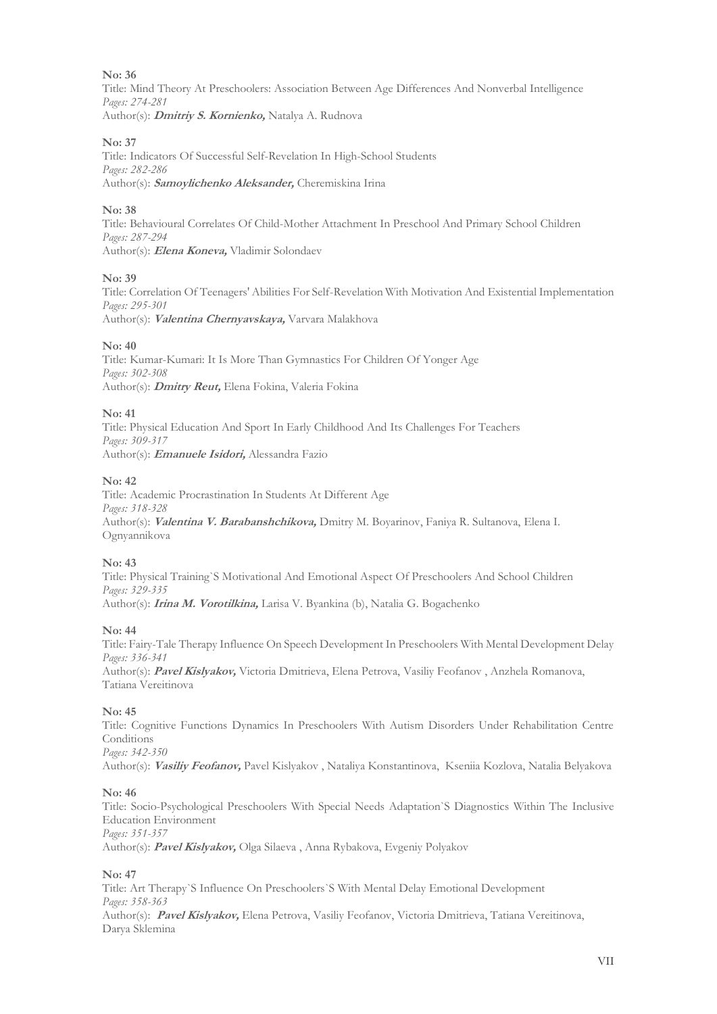Title: Mind Theory At Preschoolers: Association Between Age Differences And Nonverbal Intelligence *Pages: 274-281* Author(s): **Dmitriy S. Kornienko,** Natalya A. Rudnova

## **No: 37**

Title: Indicators Of Successful Self-Revelation In High-School Students *Pages: 282-286* Author(s): **Samoylichenko Aleksander,** Cheremiskina Irina

## **No: 38**

Title: Behavioural Correlates Of Child-Mother Attachment In Preschool And Primary School Children *Pages: 287-294* Author(s): **Elena Koneva,** Vladimir Solondaev

## **No: 39**

Title: Correlation Of Teenagers' Abilities For Self-Revelation With Motivation And Existential Implementation *Pages: 295-301* Author(s): **Valentina Chernyavskaya,** Varvara Malakhova

## **No: 40**

Title: Kumar-Kumari: It Is More Than Gymnastics For Children Of Yonger Age *Pages: 302-308* Author(s): **Dmitry Reut,** Elena Fokina, Valeria Fokina

## **No: 41**

Title: Physical Education And Sport In Early Childhood And Its Challenges For Teachers *Pages: 309-317* Author(s): **Emanuele Isidori,** Alessandra Fazio

## **No: 42**

Title: Academic Procrastination In Students At Different Age *Pages: 318-328* Author(s): **Valentina V. Barabanshchikova,** Dmitry M. Boyarinov, Faniya R. Sultanova, Elena I. Ognyannikova

## **No: 43**

Title: Physical Training`S Motivational And Emotional Aspect Of Preschoolers And School Children *Pages: 329-335* Author(s): **Irina M. Vorotilkina,** Larisa V. Byankina (b), Natalia G. Bogachenko

## **No: 44**

Title: Fairy-Tale Therapy Influence On Speech Development In Preschoolers With Mental Development Delay *Pages: 336-341* Author(s): **Pavel Kislyakov,** Victoria Dmitrieva, Elena Petrova, Vasiliy Feofanov , Anzhela Romanova,

Tatiana Vereitinova

## **No: 45**

Title: Cognitive Functions Dynamics In Preschoolers With Autism Disorders Under Rehabilitation Centre **Conditions** 

*Pages: 342-350*

Author(s): **Vasiliy Feofanov,** Pavel Kislyakov , Nataliya Konstantinova, Kseniia Kozlova, Natalia Belyakova

## **No: 46**

Title: Socio-Psychological Preschoolers With Special Needs Adaptation`S Diagnostics Within The Inclusive Education Environment *Pages: 351-357*

Author(s): **Pavel Kislyakov,** Olga Silaeva , Anna Rybakova, Evgeniy Polyakov

## **No: 47**

Title: Art Therapy`S Influence On Preschoolers`S With Mental Delay Emotional Development *Pages: 358-363* Author(s): **Pavel Kislyakov,** Elena Petrova, Vasiliy Feofanov, Victoria Dmitrieva, Tatiana Vereitinova, Darya Sklemina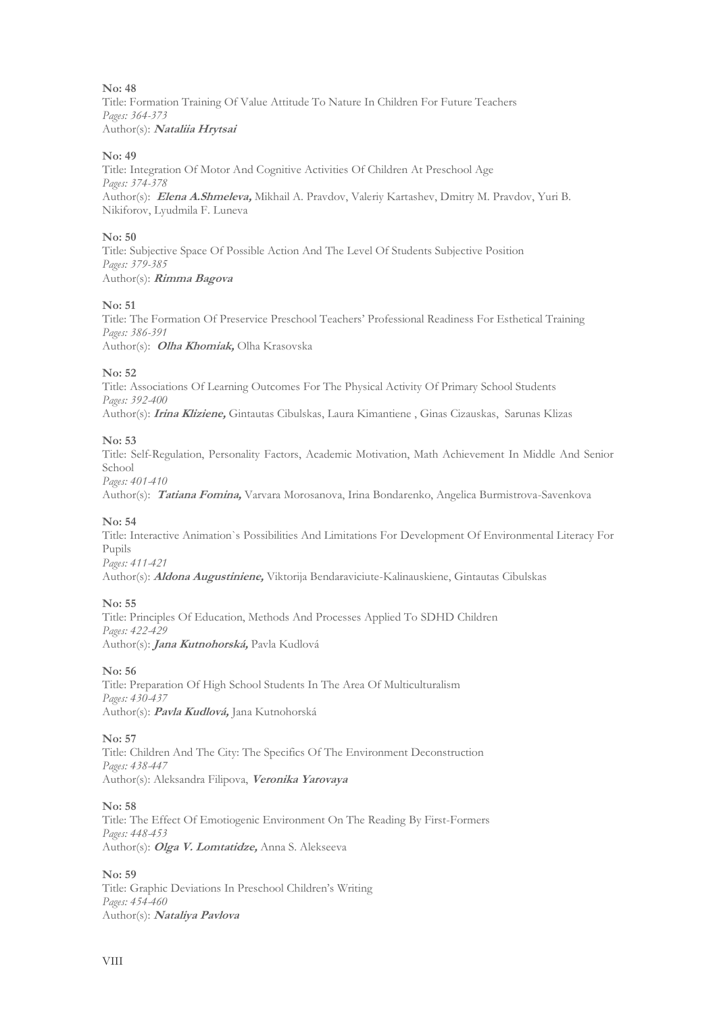Title: Formation Training Of Value Attitude To Nature In Children For Future Teachers *Pages: 364-373* Author(s): **Nataliia Hrytsai**

## **No: 49**

Title: Integration Of Motor And Cognitive Activities Of Children At Preschool Age *Pages: 374-378* Author(s): **Elena A.Shmeleva,** Mikhail A. Pravdov, Valeriy Kartashev, Dmitry M. Pravdov, Yuri B. Nikiforov, Lyudmila F. Luneva

#### **No: 50**

Title: Subjective Space Of Possible Action And The Level Of Students Subjective Position *Pages: 379-385* Author(s): **Rimma Bagova**

## **No: 51**

Title: The Formation Of Preservice Preschool Teachers' Professional Readiness For Esthetical Training *Pages: 386-391* Author(s): **Olha Khomiak,** Olha Krasovska

#### **No: 52**

Title: Associations Of Learning Outcomes For The Physical Activity Of Primary School Students *Pages: 392-400* Author(s): **Irina Kliziene,** Gintautas Cibulskas, Laura Kimantiene , Ginas Cizauskas, Sarunas Klizas

## **No: 53**

Title: Self-Regulation, Personality Factors, Academic Motivation, Math Achievement In Middle And Senior School *Pages: 401-410*

Author(s): **Tatiana Fomina,** Varvara Morosanova, Irina Bondarenko, Angelica Burmistrova-Savenkova

#### **No: 54**

Title: Interactive Animation`s Possibilities And Limitations For Development Of Environmental Literacy For Pupils *Pages: 411-421*

Author(s): **Aldona Augustiniene,** Viktorija Bendaraviciute-Kalinauskiene, Gintautas Cibulskas

## **No: 55**

Title: Principles Of Education, Methods And Processes Applied To SDHD Children *Pages: 422-429* Author(s): **Jana Kutnohorská,** Pavla Kudlová

## **No: 56**

Title: Preparation Of High School Students In The Area Of Multiculturalism *Pages: 430-437* Author(s): **Pavla Kudlová,** Jana Kutnohorská

#### **No: 57**

Title: Children And The City: The Specifics Of The Environment Deconstruction *Pages: 438-447* Author(s): Aleksandra Filipova, **Veronika Yarovaya** 

## **No: 58**

Title: The Effect Of Emotiogenic Environment On The Reading By First-Formers *Pages: 448-453* Author(s): **Olga V. Lomtatidze,** Anna S. Alekseeva

#### **No: 59**

Title: Graphic Deviations In Preschool Children's Writing *Pages: 454-460* Author(s): **Nataliya Pavlova**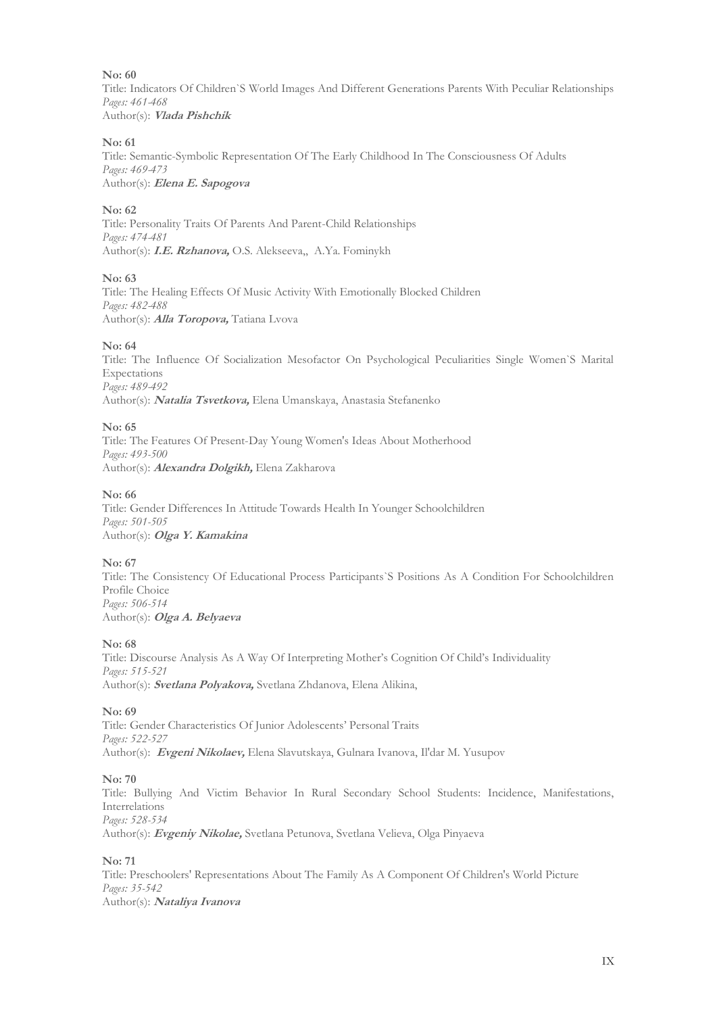Title: Indicators Of Children`S World Images And Different Generations Parents With Peculiar Relationships *Pages: 461-468* Author(s): **Vlada Pishchik**

#### **No: 61**

Title: Semantic-Symbolic Representation Of The Early Childhood In The Consciousness Of Adults *Pages: 469-473* Author(s): **Elena E. Sapogova**

#### **No: 62**

Title: Personality Traits Of Parents And Parent-Child Relationships *Pages: 474-481* Author(s): **I.E. Rzhanova,** O.S. Alekseeva,, A.Ya. Fominykh

#### **No: 63**

Title: The Healing Effects Of Music Activity With Emotionally Blocked Children *Pages: 482-488* Author(s): **Alla Toropova,** Tatiana Lvova

#### **No: 64**

Title: The Influence Of Socialization Mesofactor On Psychological Peculiarities Single Women`S Marital Expectations *Pages: 489-492* Author(s): **Natalia Tsvetkova,** Elena Umanskaya, Anastasia Stefanenko

#### **No: 65**

Title: The Features Of Present-Day Young Women's Ideas About Motherhood *Pages: 493-500* Author(s): **Alexandra Dolgikh,** Elena Zakharova

#### **No: 66**

Title: Gender Differences In Attitude Towards Health In Younger Schoolchildren *Pages: 501-505* Author(s): **Olga Y. Kamakina**

#### **No: 67**

Title: The Consistency Of Educational Process Participants`S Positions As A Condition For Schoolchildren Profile Choice *Pages: 506-514* Author(s): **Olga A. Belyaeva**

#### **No: 68**

Title: Discourse Analysis As A Way Of Interpreting Mother's Cognition Of Child's Individuality *Pages: 515-521* Author(s): **Svetlana Polyakova,** Svetlana Zhdanova, Elena Alikina,

## **No: 69**

Title: Gender Characteristics Of Junior Adolescents' Personal Traits *Pages: 522-527* Author(s): **Evgeni Nikolaev,** Elena Slavutskaya, Gulnara Ivanova, Il'dar M. Yusupov

#### **No: 70**

Title: Bullying And Victim Behavior In Rural Secondary School Students: Incidence, Manifestations, Interrelations *Pages: 528-534* Author(s): **Evgeniy Nikolae,** Svetlana Petunova, Svetlana Velieva, Olga Pinyaeva

#### **No: 71**

Title: Preschoolers' Representations About The Family As A Component Of Children's World Picture *Pages: 35-542* Author(s): **Nataliya Ivanova**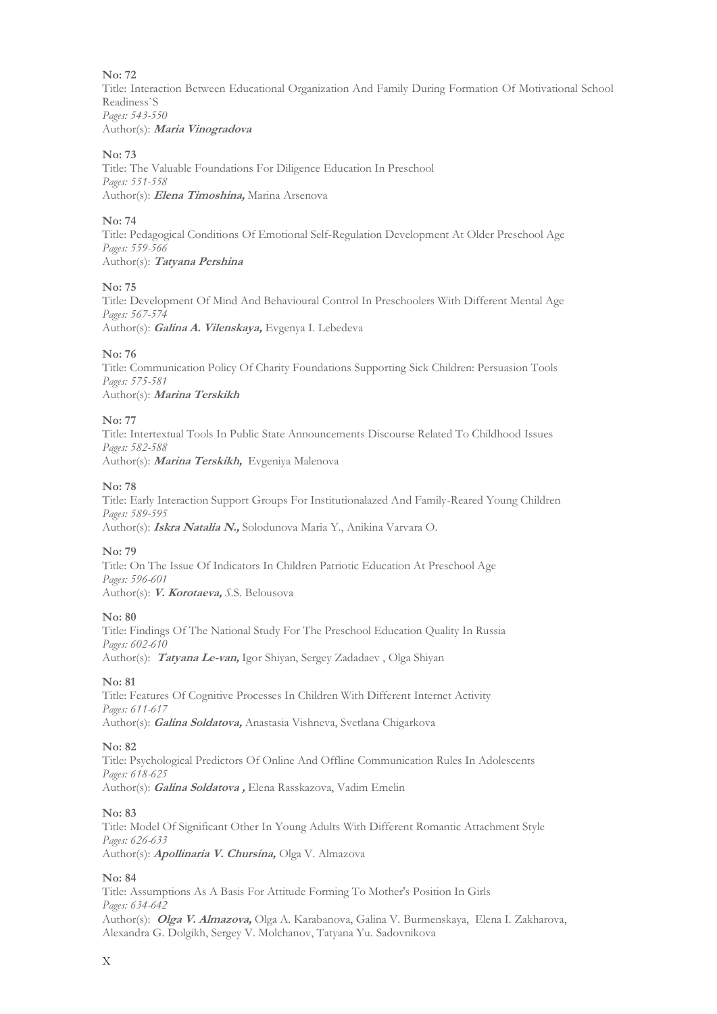Title: Interaction Between Educational Organization And Family During Formation Of Motivational School Readiness`S *Pages: 543-550* Author(s): **Maria Vinogradova**

#### **No: 73**

Title: The Valuable Foundations For Diligence Education In Preschool *Pages: 551-558* Author(s): **Elena Timoshina,** Marina Arsenova

#### **No: 74**

Title: Pedagogical Conditions Of Emotional Self-Regulation Development At Older Preschool Age *Pages: 559-566* Author(s): **Tatyana Pershina**

#### **No: 75**

Title: Development Of Mind And Behavioural Control In Preschoolers With Different Mental Age *Pages: 567-574* Author(s): **Galina A. Vilenskaya,** Evgenya I. Lebedeva

#### **No: 76**

Title: Communication Policy Of Charity Foundations Supporting Sick Children: Persuasion Tools *Pages: 575-581* Author(s): **Marina Terskikh**

#### **No: 77**

Title: Intertextual Tools In Public State Announcements Discourse Related To Childhood Issues *Pages: 582-588* Author(s): **Marina Terskikh,** Evgeniya Malenova

#### **No: 78**

Title: Early Interaction Support Groups For Institutionalazed And Family-Reared Young Children *Pages: 589-595* Author(s): **Iskra Natalia N.,** Solodunova Maria Y., Anikina Varvara O.

#### **No: 79**

Title: On The Issue Of Indicators In Children Patriotic Education At Preschool Age *Pages: 596-601* Author(s): **V. Korotaeva,** *S*.S. Belousova

#### **No: 80**

Title: Findings Of The National Study For The Preschool Education Quality In Russia *Pages: 602-610* Author(s): **Tatyana Le-van,** Igor Shiyan, Sergey Zadadaev , Olga Shiyan

#### **No: 81**

Title: Features Of Cognitive Processes In Children With Different Internet Activity *Pages: 611-617* Author(s): **Galina Soldatova,** Anastasia Vishneva, Svetlana Chigarkova

#### **No: 82**

Title: Psychological Predictors Of Online And Offline Communication Rules In Adolescents *Pages: 618-625* Author(s): **Galina Soldatova ,** Elena Rasskazova, Vadim Emelin

#### **No: 83**

Title: Model Of Significant Other In Young Adults With Different Romantic Attachment Style *Pages: 626-633* Author(s): **Apollinaria V. Chursina,** Olga V. Almazova

#### **No: 84**

Title: Assumptions As A Basis For Attitude Forming To Mother's Position In Girls *Pages: 634-642* Author(s): **Olga V. Almazova,** Olga A. Karabanova, Galina V. Burmenskaya, Elena I. Zakharova, Alexandra G. Dolgikh, Sergey V. Molchanov, Tatyana Yu. Sadovnikova